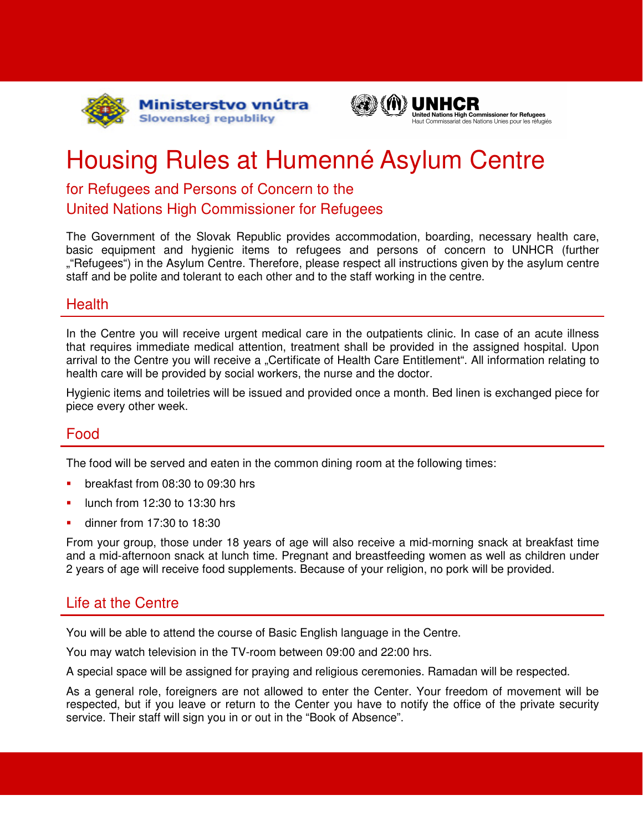



# Housing Rules at Humenné Asylum Centre

## for Refugees and Persons of Concern to the United Nations High Commissioner for Refugees

The Government of the Slovak Republic provides accommodation, boarding, necessary health care, basic equipment and hygienic items to refugees and persons of concern to UNHCR (further ""Refugees") in the Asylum Centre. Therefore, please respect all instructions given by the asylum centre staff and be polite and tolerant to each other and to the staff working in the centre.

#### **Health**

In the Centre you will receive urgent medical care in the outpatients clinic. In case of an acute illness that requires immediate medical attention, treatment shall be provided in the assigned hospital. Upon arrival to the Centre you will receive a "Certificate of Health Care Entitlement". All information relating to health care will be provided by social workers, the nurse and the doctor.

Hygienic items and toiletries will be issued and provided once a month. Bed linen is exchanged piece for piece every other week.

## Food

The food will be served and eaten in the common dining room at the following times:

- breakfast from 08:30 to 09:30 hrs
- lunch from 12:30 to 13:30 hrs
- dinner from 17:30 to 18:30

From your group, those under 18 years of age will also receive a mid-morning snack at breakfast time and a mid-afternoon snack at lunch time. Pregnant and breastfeeding women as well as children under 2 years of age will receive food supplements. Because of your religion, no pork will be provided.

### Life at the Centre

You will be able to attend the course of Basic English language in the Centre.

You may watch television in the TV-room between 09:00 and 22:00 hrs.

A special space will be assigned for praying and religious ceremonies. Ramadan will be respected.

As a general role, foreigners are not allowed to enter the Center. Your freedom of movement will be respected, but if you leave or return to the Center you have to notify the office of the private security service. Their staff will sign you in or out in the "Book of Absence".